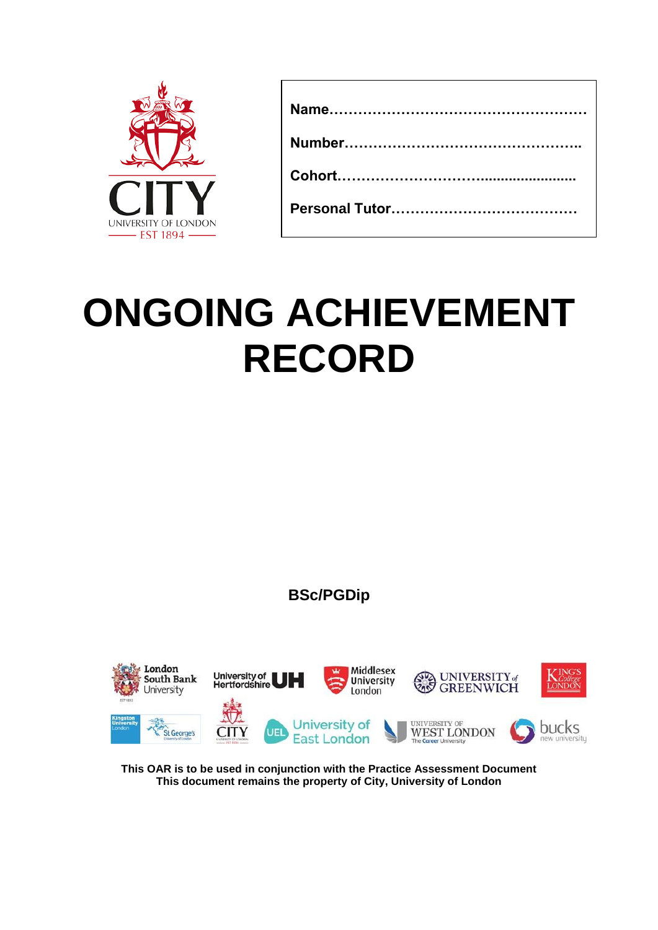

# **ONGOING ACHIEVEMENT RECORD**

**BSc/PGDip**



**This OAR is to be used in conjunction with the Practice Assessment Document This document remains the property of City, University of London**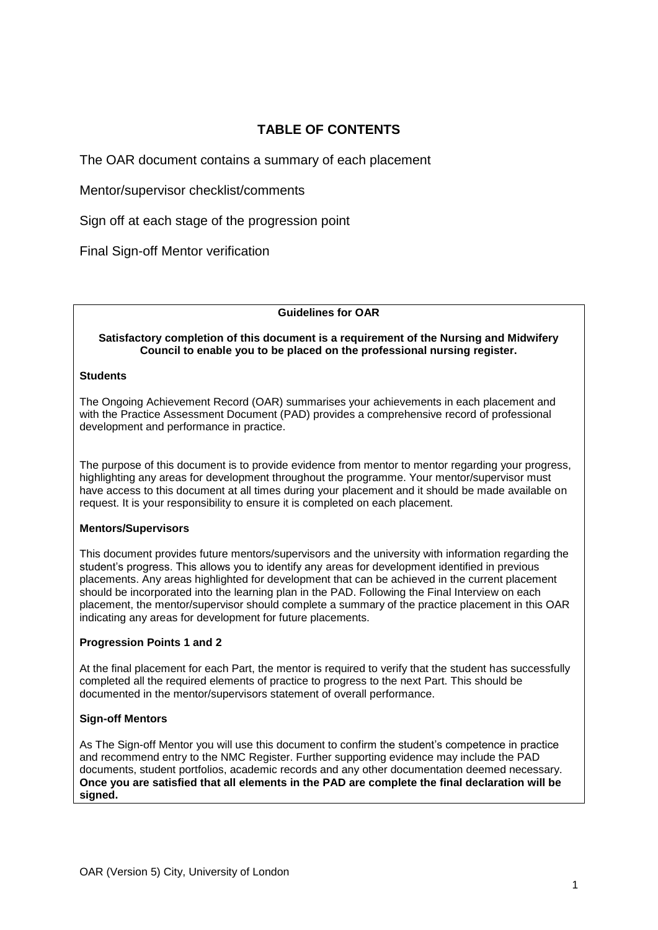# **TABLE OF CONTENTS**

The OAR document contains a summary of each placement

Mentor/supervisor checklist/comments

Sign off at each stage of the progression point

Final Sign-off Mentor verification

#### **Guidelines for OAR**

#### **Satisfactory completion of this document is a requirement of the Nursing and Midwifery Council to enable you to be placed on the professional nursing register.**

#### **Students**

The Ongoing Achievement Record (OAR) summarises your achievements in each placement and with the Practice Assessment Document (PAD) provides a comprehensive record of professional development and performance in practice.

The purpose of this document is to provide evidence from mentor to mentor regarding your progress, highlighting any areas for development throughout the programme. Your mentor/supervisor must have access to this document at all times during your placement and it should be made available on request. It is your responsibility to ensure it is completed on each placement.

#### **Mentors/Supervisors**

This document provides future mentors/supervisors and the university with information regarding the student's progress. This allows you to identify any areas for development identified in previous placements. Any areas highlighted for development that can be achieved in the current placement should be incorporated into the learning plan in the PAD. Following the Final Interview on each placement, the mentor/supervisor should complete a summary of the practice placement in this OAR indicating any areas for development for future placements.

#### **Progression Points 1 and 2**

At the final placement for each Part, the mentor is required to verify that the student has successfully completed all the required elements of practice to progress to the next Part. This should be documented in the mentor/supervisors statement of overall performance.

#### **Sign-off Mentors**

As The Sign-off Mentor you will use this document to confirm the student's competence in practice and recommend entry to the NMC Register. Further supporting evidence may include the PAD documents, student portfolios, academic records and any other documentation deemed necessary. **Once you are satisfied that all elements in the PAD are complete the final declaration will be signed.**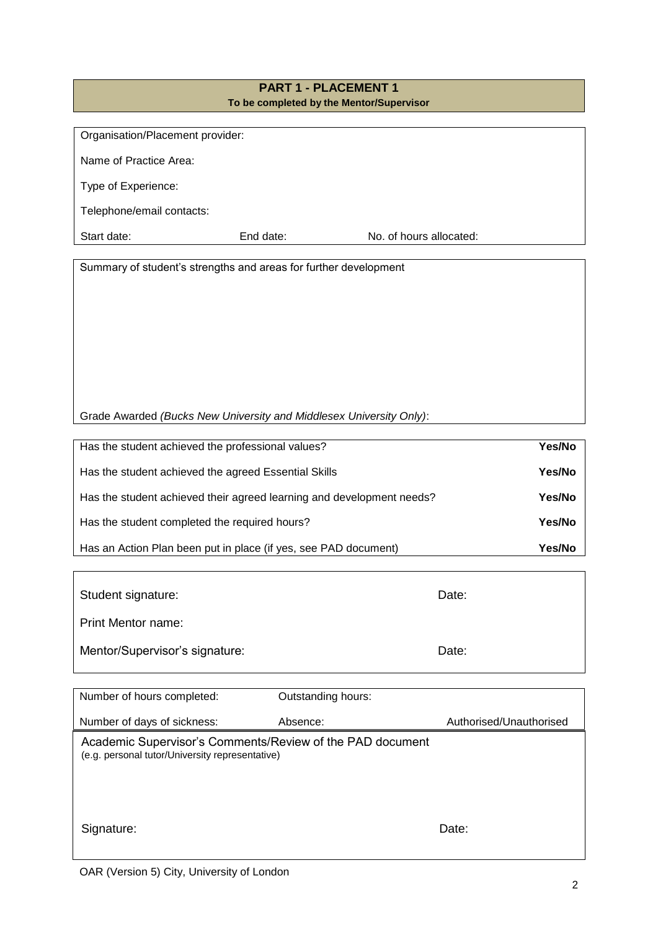# **PART 1 - PLACEMENT 1 To be completed by the Mentor/Supervisor**

| Organisation/Placement provider: |           |                         |
|----------------------------------|-----------|-------------------------|
| Name of Practice Area:           |           |                         |
| Type of Experience:              |           |                         |
| Telephone/email contacts:        |           |                         |
| Start date:                      | End date: | No. of hours allocated: |

Summary of student's strengths and areas for further development

| Has the student achieved the professional values?                     | Yes/No |
|-----------------------------------------------------------------------|--------|
| Has the student achieved the agreed Essential Skills                  | Yes/No |
| Has the student achieved their agreed learning and development needs? | Yes/No |
| Has the student completed the required hours?                         | Yes/No |
| Has an Action Plan been put in place (if yes, see PAD document)       | Yes/No |

| Student signature:             | Date: |
|--------------------------------|-------|
| <b>Print Mentor name:</b>      |       |
| Mentor/Supervisor's signature: | Date: |

| Number of hours completed:                                                                                   | Outstanding hours: |                         |
|--------------------------------------------------------------------------------------------------------------|--------------------|-------------------------|
| Number of days of sickness:                                                                                  | Absence:           | Authorised/Unauthorised |
| Academic Supervisor's Comments/Review of the PAD document<br>(e.g. personal tutor/University representative) |                    |                         |
| Signature:                                                                                                   |                    | Date:                   |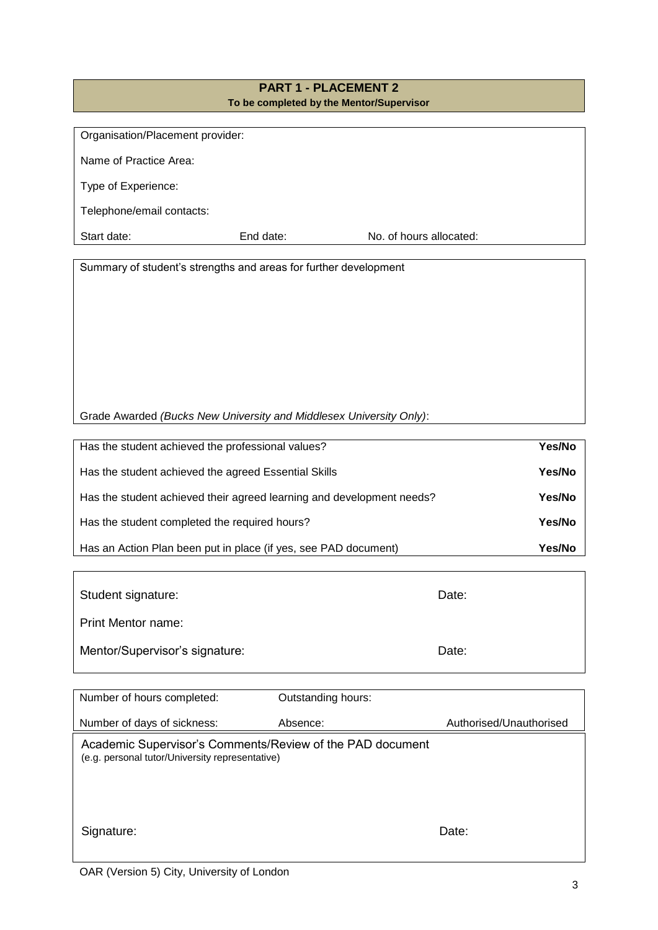# **PART 1 - PLACEMENT 2 To be completed by the Mentor/Supervisor**

| Organisation/Placement provider: |           |                         |
|----------------------------------|-----------|-------------------------|
|                                  |           |                         |
| Name of Practice Area:           |           |                         |
|                                  |           |                         |
|                                  |           |                         |
| Type of Experience:              |           |                         |
|                                  |           |                         |
| Telephone/email contacts:        |           |                         |
|                                  |           |                         |
| Start date:                      | End date: | No. of hours allocated: |
|                                  |           |                         |

Summary of student's strengths and areas for further development

| Has the student achieved the professional values?                     | Yes/No |
|-----------------------------------------------------------------------|--------|
| Has the student achieved the agreed Essential Skills                  | Yes/No |
| Has the student achieved their agreed learning and development needs? | Yes/No |
| Has the student completed the required hours?                         | Yes/No |
| Has an Action Plan been put in place (if yes, see PAD document)       | Yes/No |

| Student signature:             | Date: |
|--------------------------------|-------|
| <b>Print Mentor name:</b>      |       |
| Mentor/Supervisor's signature: | Date: |

| Number of hours completed:                                                                                   | Outstanding hours: |                         |
|--------------------------------------------------------------------------------------------------------------|--------------------|-------------------------|
| Number of days of sickness:                                                                                  | Absence:           | Authorised/Unauthorised |
| Academic Supervisor's Comments/Review of the PAD document<br>(e.g. personal tutor/University representative) |                    |                         |
|                                                                                                              |                    |                         |
| Signature:                                                                                                   |                    | Date:                   |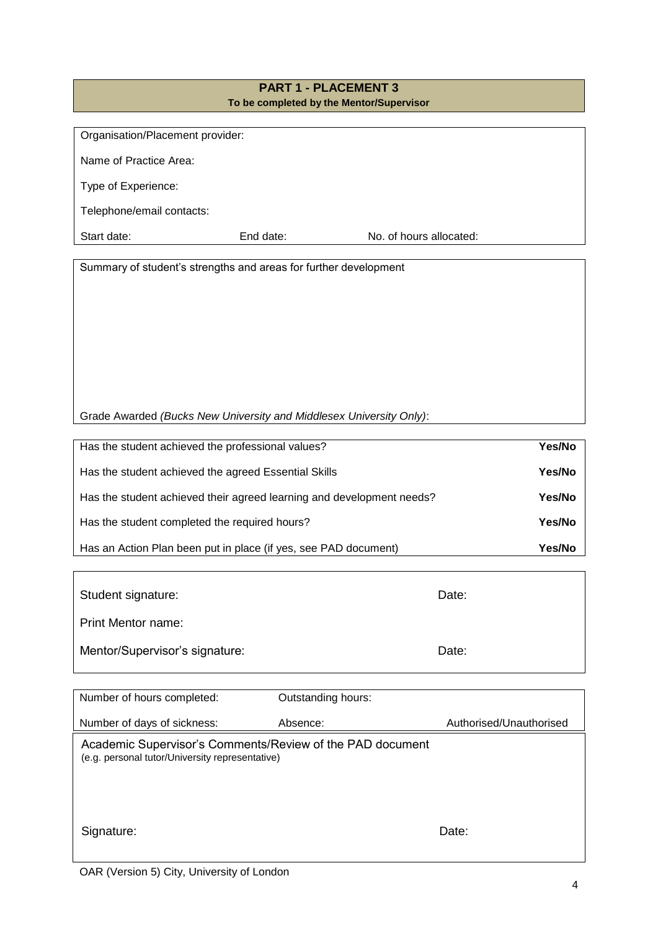# **PART 1 - PLACEMENT 3 To be completed by the Mentor/Supervisor**

| Organisation/Placement provider: |           |                         |
|----------------------------------|-----------|-------------------------|
| Name of Practice Area:           |           |                         |
| Type of Experience:              |           |                         |
| Telephone/email contacts:        |           |                         |
| Start date:                      | End date: | No. of hours allocated: |

Summary of student's strengths and areas for further development

| Has the student achieved the professional values?                     | Yes/No |
|-----------------------------------------------------------------------|--------|
| Has the student achieved the agreed Essential Skills                  | Yes/No |
| Has the student achieved their agreed learning and development needs? | Yes/No |
| Has the student completed the required hours?                         | Yes/No |
| Has an Action Plan been put in place (if yes, see PAD document)       | Yes/No |

| Student signature:             | Date: |
|--------------------------------|-------|
| <b>Print Mentor name:</b>      |       |
| Mentor/Supervisor's signature: | Date: |

| Number of hours completed:                                                                                   | Outstanding hours: |                         |
|--------------------------------------------------------------------------------------------------------------|--------------------|-------------------------|
| Number of days of sickness:                                                                                  | Absence:           | Authorised/Unauthorised |
| Academic Supervisor's Comments/Review of the PAD document<br>(e.g. personal tutor/University representative) |                    |                         |
|                                                                                                              |                    |                         |
| Signature:                                                                                                   |                    | Date:                   |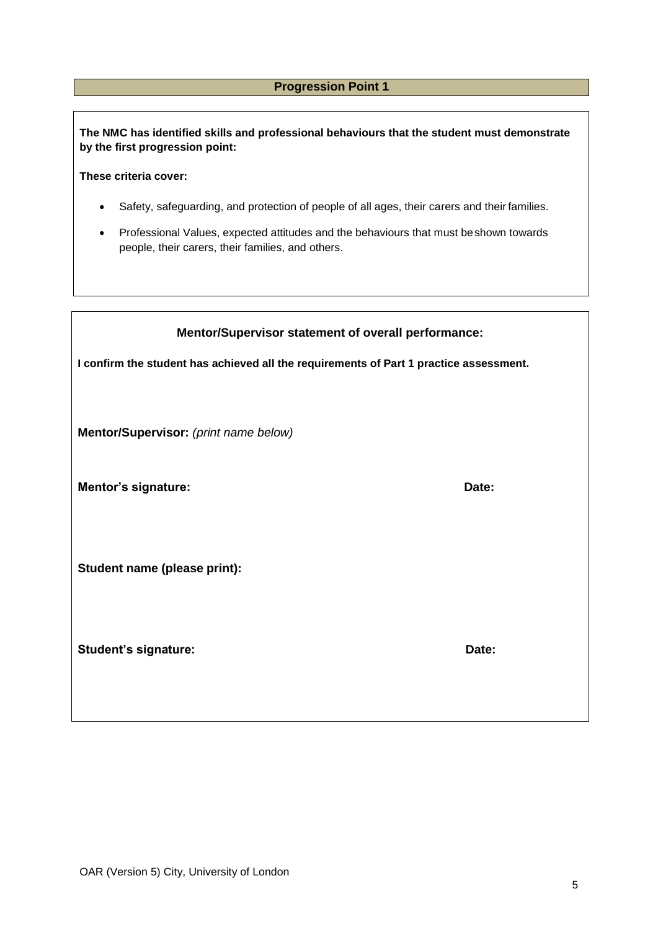# **Progression Point 1**

**The NMC has identified skills and professional behaviours that the student must demonstrate by the first progression point:**

**These criteria cover:**

- Safety, safeguarding, and protection of people of all ages, their carers and their families.
- Professional Values, expected attitudes and the behaviours that must beshown towards people, their carers, their families, and others.

| Mentor/Supervisor statement of overall performance:                                    |       |  |  |
|----------------------------------------------------------------------------------------|-------|--|--|
| I confirm the student has achieved all the requirements of Part 1 practice assessment. |       |  |  |
|                                                                                        |       |  |  |
| Mentor/Supervisor: (print name below)                                                  |       |  |  |
|                                                                                        |       |  |  |
| <b>Mentor's signature:</b>                                                             | Date: |  |  |
|                                                                                        |       |  |  |
| Student name (please print):                                                           |       |  |  |
|                                                                                        |       |  |  |
| <b>Student's signature:</b>                                                            | Date: |  |  |
|                                                                                        |       |  |  |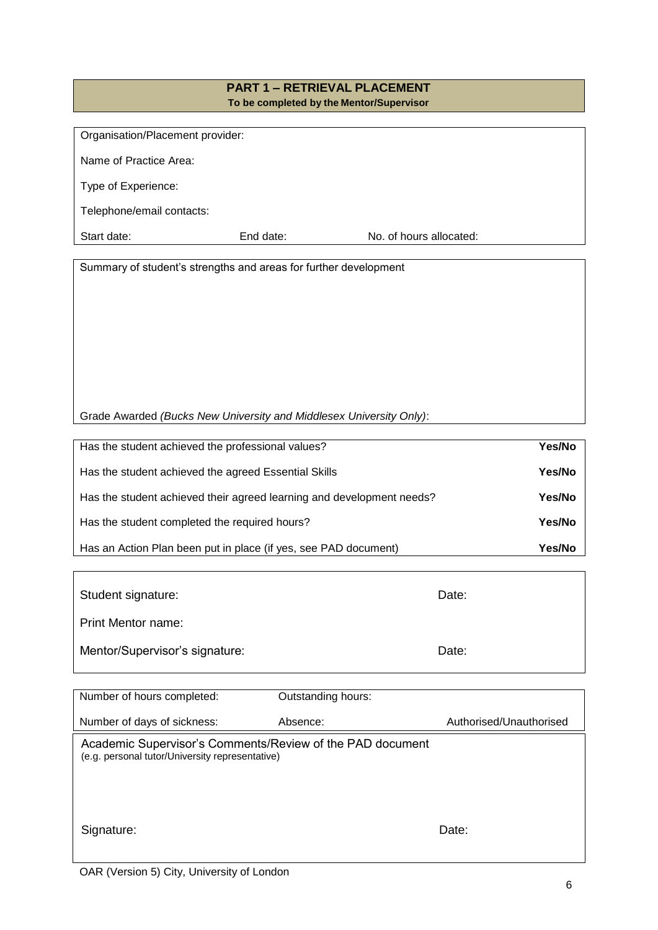#### **PART 1 – RETRIEVAL PLACEMENT To be completed by the Mentor/Supervisor**

| Organisation/Placement provider: |           |                         |  |
|----------------------------------|-----------|-------------------------|--|
| Name of Practice Area:           |           |                         |  |
| Type of Experience:              |           |                         |  |
| Telephone/email contacts:        |           |                         |  |
| Start date:                      | End date: | No. of hours allocated: |  |

Summary of student's strengths and areas for further development

| Has the student achieved the professional values?                     | Yes/No |
|-----------------------------------------------------------------------|--------|
| Has the student achieved the agreed Essential Skills                  | Yes/No |
| Has the student achieved their agreed learning and development needs? | Yes/No |
| Has the student completed the required hours?                         | Yes/No |
| Has an Action Plan been put in place (if yes, see PAD document)       | Yes/No |

| Student signature:             | Date: |
|--------------------------------|-------|
| Print Mentor name:             |       |
| Mentor/Supervisor's signature: | Date: |

| Number of hours completed:                                                                                   | Outstanding hours: |                         |
|--------------------------------------------------------------------------------------------------------------|--------------------|-------------------------|
| Number of days of sickness:                                                                                  | Absence:           | Authorised/Unauthorised |
| Academic Supervisor's Comments/Review of the PAD document<br>(e.g. personal tutor/University representative) |                    |                         |
| Signature:                                                                                                   |                    | Date:                   |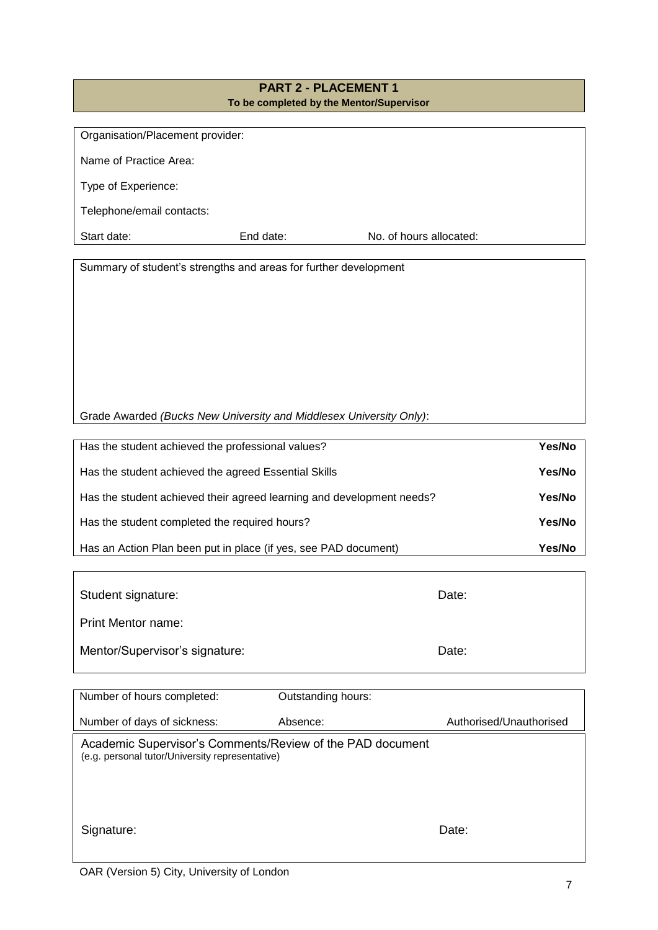# **PART 2 - PLACEMENT 1 To be completed by the Mentor/Supervisor**

| Organisation/Placement provider: |           |                         |  |
|----------------------------------|-----------|-------------------------|--|
|                                  |           |                         |  |
| Name of Practice Area:           |           |                         |  |
|                                  |           |                         |  |
|                                  |           |                         |  |
| Type of Experience:              |           |                         |  |
|                                  |           |                         |  |
| Telephone/email contacts:        |           |                         |  |
|                                  |           |                         |  |
| Start date:                      | End date: | No. of hours allocated: |  |
|                                  |           |                         |  |

Summary of student's strengths and areas for further development

| Has the student achieved the professional values?                     | Yes/No |
|-----------------------------------------------------------------------|--------|
| Has the student achieved the agreed Essential Skills                  | Yes/No |
| Has the student achieved their agreed learning and development needs? | Yes/No |
| Has the student completed the required hours?                         | Yes/No |
| Has an Action Plan been put in place (if yes, see PAD document)       | Yes/No |

| Student signature:             | Date: |
|--------------------------------|-------|
| <b>Print Mentor name:</b>      |       |
| Mentor/Supervisor's signature: | Date: |

| Number of hours completed:                                                                                   | Outstanding hours: |                         |
|--------------------------------------------------------------------------------------------------------------|--------------------|-------------------------|
| Number of days of sickness:                                                                                  | Absence:           | Authorised/Unauthorised |
| Academic Supervisor's Comments/Review of the PAD document<br>(e.g. personal tutor/University representative) |                    |                         |
| Signature:                                                                                                   |                    | Date:                   |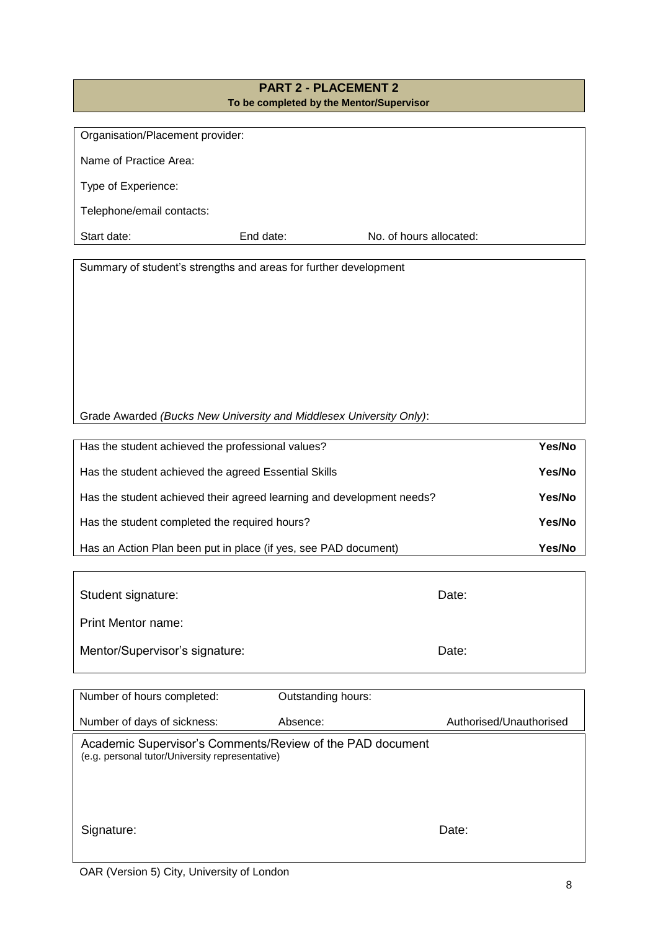# **PART 2 - PLACEMENT 2 To be completed by the Mentor/Supervisor**

| Organisation/Placement provider: |           |                         |  |
|----------------------------------|-----------|-------------------------|--|
|                                  |           |                         |  |
| Name of Practice Area:           |           |                         |  |
|                                  |           |                         |  |
|                                  |           |                         |  |
| Type of Experience:              |           |                         |  |
|                                  |           |                         |  |
| Telephone/email contacts:        |           |                         |  |
|                                  |           |                         |  |
| Start date:                      | End date: | No. of hours allocated: |  |
|                                  |           |                         |  |

Summary of student's strengths and areas for further development

| Has the student achieved the professional values?                     | Yes/No |
|-----------------------------------------------------------------------|--------|
| Has the student achieved the agreed Essential Skills                  | Yes/No |
| Has the student achieved their agreed learning and development needs? | Yes/No |
| Has the student completed the required hours?                         | Yes/No |
| Has an Action Plan been put in place (if yes, see PAD document)       | Yes/No |

| Student signature:             | Date: |
|--------------------------------|-------|
| <b>Print Mentor name:</b>      |       |
| Mentor/Supervisor's signature: | Date: |

| Number of hours completed:                                                                                   | Outstanding hours: |                         |
|--------------------------------------------------------------------------------------------------------------|--------------------|-------------------------|
| Number of days of sickness:                                                                                  | Absence:           | Authorised/Unauthorised |
| Academic Supervisor's Comments/Review of the PAD document<br>(e.g. personal tutor/University representative) |                    |                         |
| Signature:                                                                                                   |                    | Date:                   |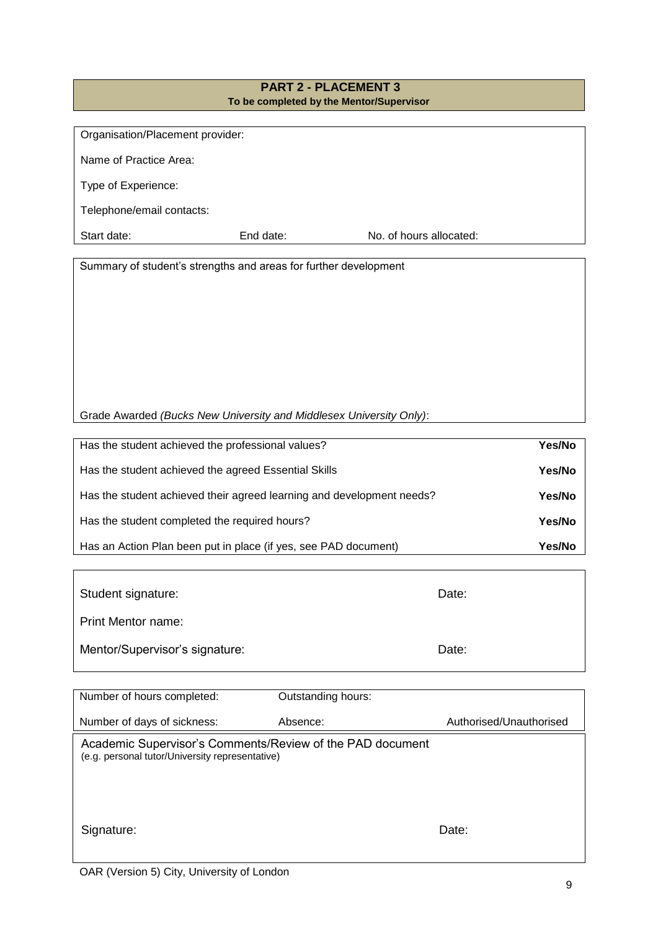#### **PART 2 - PLACEMENT 3 To be completed by the Mentor/Supervisor**

| Organisation/Placement provider: |           |                         |  |
|----------------------------------|-----------|-------------------------|--|
| Name of Practice Area:           |           |                         |  |
| Type of Experience:              |           |                         |  |
| Telephone/email contacts:        |           |                         |  |
| Start date:                      | End date: | No. of hours allocated: |  |

Summary of student's strengths and areas for further development

| Has the student achieved the professional values?                     | Yes/No |
|-----------------------------------------------------------------------|--------|
| Has the student achieved the agreed Essential Skills                  | Yes/No |
| Has the student achieved their agreed learning and development needs? | Yes/No |
| Has the student completed the required hours?                         | Yes/No |
| Has an Action Plan been put in place (if yes, see PAD document)       | Yes/No |

| Student signature:             | Date: |
|--------------------------------|-------|
| <b>Print Mentor name:</b>      |       |
| Mentor/Supervisor's signature: | Date: |

| Number of hours completed:                                                                                   | Outstanding hours: |                         |
|--------------------------------------------------------------------------------------------------------------|--------------------|-------------------------|
| Number of days of sickness:                                                                                  | Absence:           | Authorised/Unauthorised |
| Academic Supervisor's Comments/Review of the PAD document<br>(e.g. personal tutor/University representative) |                    |                         |
| Signature:                                                                                                   |                    | Date:                   |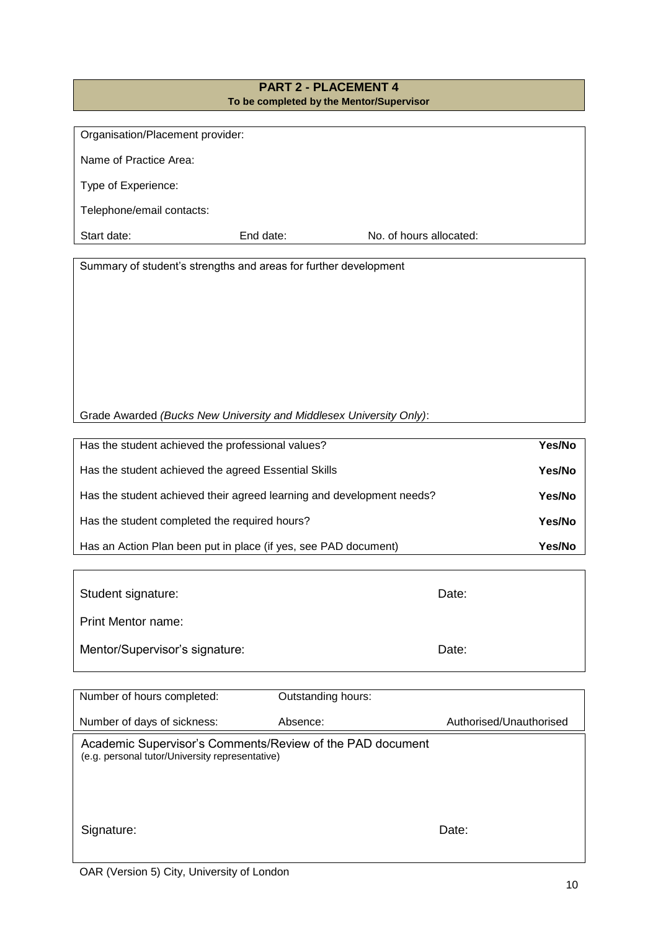#### **PART 2 - PLACEMENT 4 To be completed by the Mentor/Supervisor**

| Organisation/Placement provider: |           |                         |  |
|----------------------------------|-----------|-------------------------|--|
| Name of Practice Area:           |           |                         |  |
| Type of Experience:              |           |                         |  |
| Telephone/email contacts:        |           |                         |  |
| Start date:                      | End date: | No. of hours allocated: |  |

Summary of student's strengths and areas for further development

Grade Awarded *(Bucks New University and Middlesex University Only)*:

| Has the student achieved the professional values?                     | Yes/No |
|-----------------------------------------------------------------------|--------|
| Has the student achieved the agreed Essential Skills                  | Yes/No |
| Has the student achieved their agreed learning and development needs? | Yes/No |
| Has the student completed the required hours?                         | Yes/No |
| Has an Action Plan been put in place (if yes, see PAD document)       | Yes/No |

| Student signature:             | Date: |
|--------------------------------|-------|
| Print Mentor name:             |       |
| Mentor/Supervisor's signature: | Date: |

| Number of hours completed:                                                                                   | Outstanding hours: |                         |
|--------------------------------------------------------------------------------------------------------------|--------------------|-------------------------|
| Number of days of sickness:                                                                                  | Absence:           | Authorised/Unauthorised |
| Academic Supervisor's Comments/Review of the PAD document<br>(e.g. personal tutor/University representative) |                    |                         |
| Signature:                                                                                                   |                    | Date:                   |

ı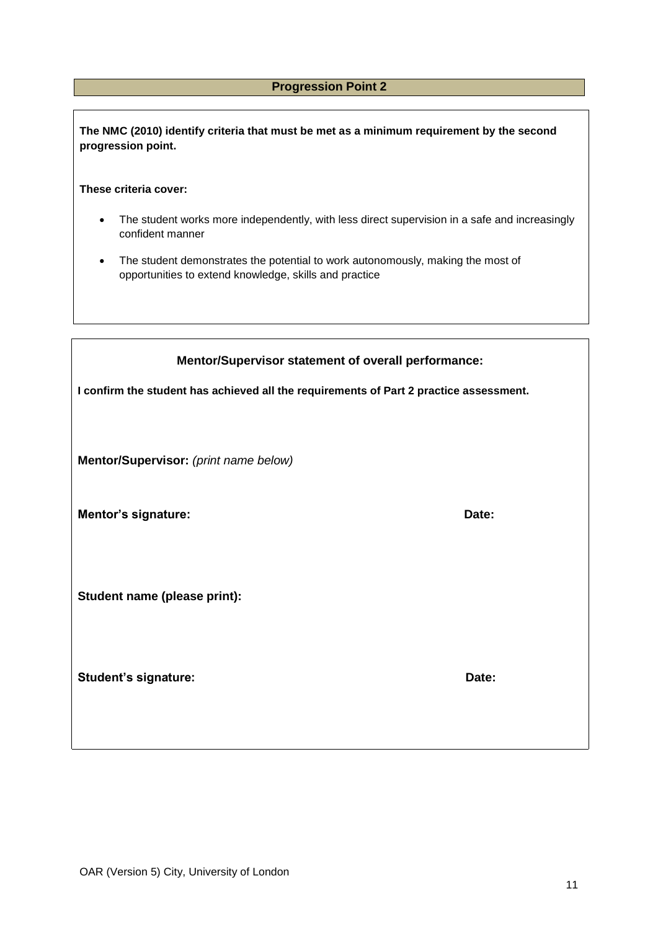# **Progression Point 2**

**The NMC (2010) identify criteria that must be met as a minimum requirement by the second progression point.**

**These criteria cover:**

- The student works more independently, with less direct supervision in a safe and increasingly confident manner
- The student demonstrates the potential to work autonomously, making the most of opportunities to extend knowledge, skills and practice

| Mentor/Supervisor statement of overall performance:                                    |       |  |
|----------------------------------------------------------------------------------------|-------|--|
| I confirm the student has achieved all the requirements of Part 2 practice assessment. |       |  |
|                                                                                        |       |  |
| Mentor/Supervisor: (print name below)                                                  |       |  |
| <b>Mentor's signature:</b>                                                             | Date: |  |
|                                                                                        |       |  |
| Student name (please print):                                                           |       |  |
|                                                                                        |       |  |
|                                                                                        | Date: |  |
| <b>Student's signature:</b>                                                            |       |  |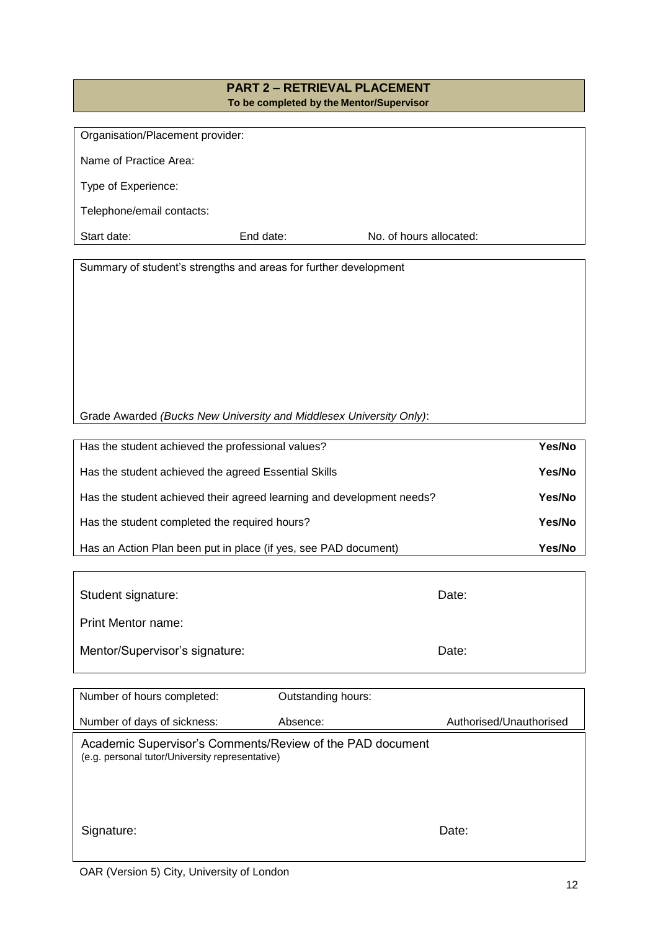#### **PART 2 – RETRIEVAL PLACEMENT To be completed by the Mentor/Supervisor**

| Organisation/Placement provider: |           |                         |  |
|----------------------------------|-----------|-------------------------|--|
| Name of Practice Area:           |           |                         |  |
| Type of Experience:              |           |                         |  |
| Telephone/email contacts:        |           |                         |  |
| Start date:                      | End date: | No. of hours allocated: |  |

Summary of student's strengths and areas for further development

| Has the student achieved the professional values?                     | Yes/No |
|-----------------------------------------------------------------------|--------|
| Has the student achieved the agreed Essential Skills                  | Yes/No |
| Has the student achieved their agreed learning and development needs? | Yes/No |
| Has the student completed the required hours?                         | Yes/No |
| Has an Action Plan been put in place (if yes, see PAD document)       | Yes/No |

| Student signature:             | Date: |
|--------------------------------|-------|
| <b>Print Mentor name:</b>      |       |
| Mentor/Supervisor's signature: | Date: |

| Number of hours completed:                                                                                   | Outstanding hours: |                         |
|--------------------------------------------------------------------------------------------------------------|--------------------|-------------------------|
| Number of days of sickness:                                                                                  | Absence:           | Authorised/Unauthorised |
| Academic Supervisor's Comments/Review of the PAD document<br>(e.g. personal tutor/University representative) |                    |                         |
| Signature:                                                                                                   |                    | Date:                   |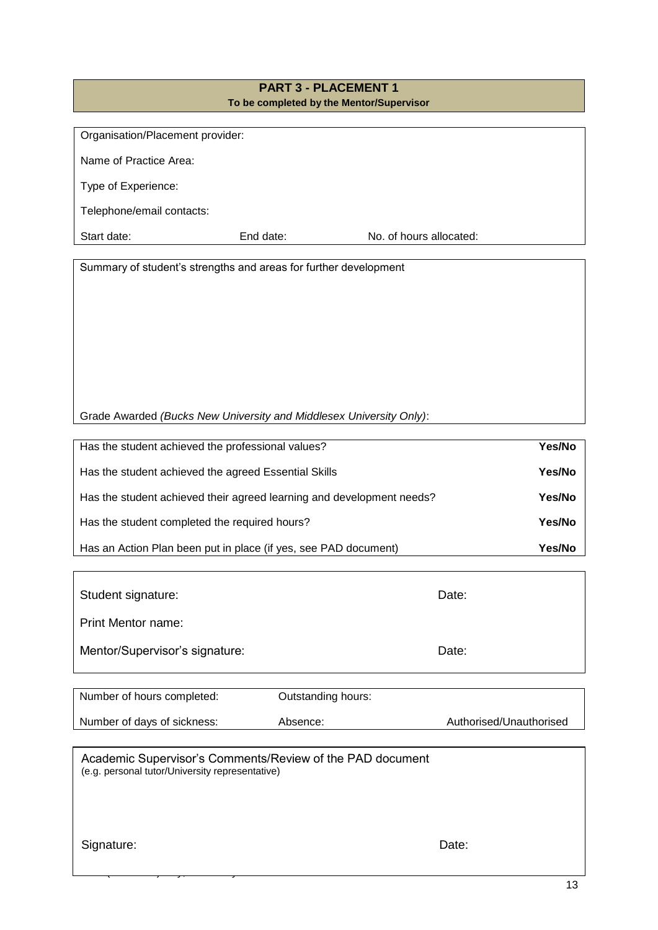# **PART 3 - PLACEMENT 1 To be completed by the Mentor/Supervisor**

| Organisation/Placement provider: |           |                         |  |
|----------------------------------|-----------|-------------------------|--|
| Name of Practice Area:           |           |                         |  |
| Type of Experience:              |           |                         |  |
| Telephone/email contacts:        |           |                         |  |
| Start date:                      | End date: | No. of hours allocated: |  |

Summary of student's strengths and areas for further development

Grade Awarded *(Bucks New University and Middlesex University Only)*:

| Has the student achieved the professional values?                     | Yes/No |
|-----------------------------------------------------------------------|--------|
| Has the student achieved the agreed Essential Skills                  | Yes/No |
| Has the student achieved their agreed learning and development needs? | Yes/No |
| Has the student completed the required hours?                         | Yes/No |
| Has an Action Plan been put in place (if yes, see PAD document)       | Yes/No |

| Student signature:             | Date: |
|--------------------------------|-------|
| <b>Print Mentor name:</b>      |       |
| Mentor/Supervisor's signature: | Date: |

| Number of hours completed:  | Outstanding hours: |                         |
|-----------------------------|--------------------|-------------------------|
| Number of days of sickness: | Absence:           | Authorised/Unauthorised |

Academic Supervisor's Comments/Review of the PAD document (e.g. personal tutor/University representative)

Signature: Date: Date: Date: Date: Date: Date: Date: Date: Date: Date: Date: Date: Date: Date: Date: Date: Date: Date: Date: Date: Date: Date: Date: Date: Date: Date: Date: Date: Date: Date: Date: Date: Date: Date: Date: D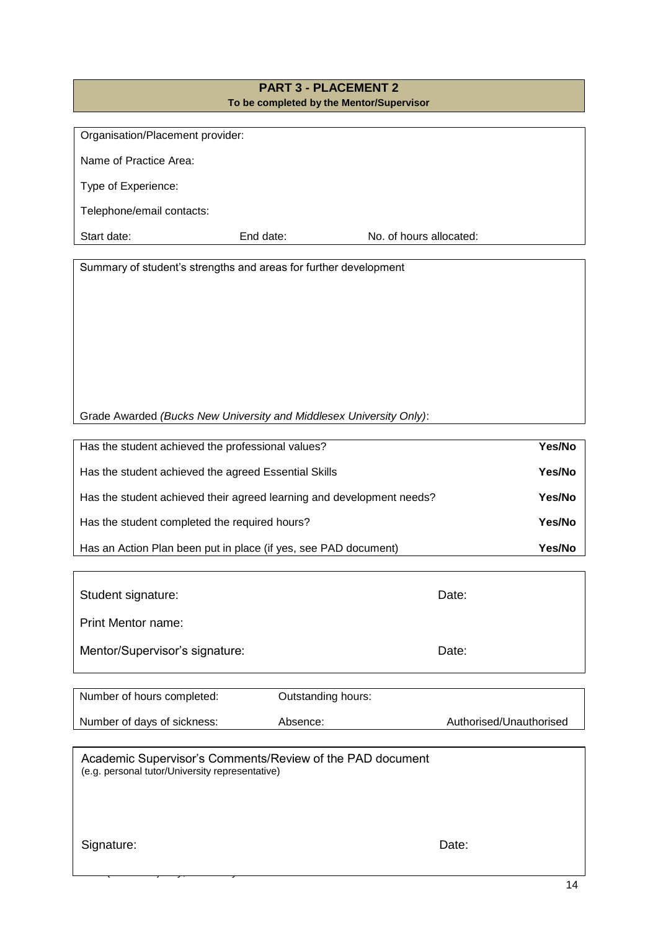# **PART 3 - PLACEMENT 2 To be completed by the Mentor/Supervisor**

| Organisation/Placement provider: |           |                         |
|----------------------------------|-----------|-------------------------|
|                                  |           |                         |
| Name of Practice Area:           |           |                         |
|                                  |           |                         |
| Type of Experience:              |           |                         |
|                                  |           |                         |
| Telephone/email contacts:        |           |                         |
|                                  |           |                         |
| Start date:                      | End date: | No. of hours allocated: |
|                                  |           |                         |

Summary of student's strengths and areas for further development

Grade Awarded *(Bucks New University and Middlesex University Only)*:

| Has the student achieved the professional values?                     | Yes/No |
|-----------------------------------------------------------------------|--------|
| Has the student achieved the agreed Essential Skills                  | Yes/No |
| Has the student achieved their agreed learning and development needs? | Yes/No |
| Has the student completed the required hours?                         | Yes/No |
| Has an Action Plan been put in place (if yes, see PAD document)       | Yes/No |

| Student signature:             | Date: |
|--------------------------------|-------|
| Print Mentor name:             |       |
| Mentor/Supervisor's signature: | Date: |

| Number of hours completed:  | Outstanding hours: |                         |
|-----------------------------|--------------------|-------------------------|
| Number of days of sickness: | Absence:           | Authorised/Unauthorised |

Academic Supervisor's Comments/Review of the PAD document (e.g. personal tutor/University representative)

Signature: Date: Date: Date: Date: Date: Date: Date: Date: Date: Date: Date: Date: Date: Date: Date: Date: Date: Date: Date: Date: Date: Date: Date: Date: Date: Date: Date: Date: Date: Date: Date: Date: Date: Date: Date: D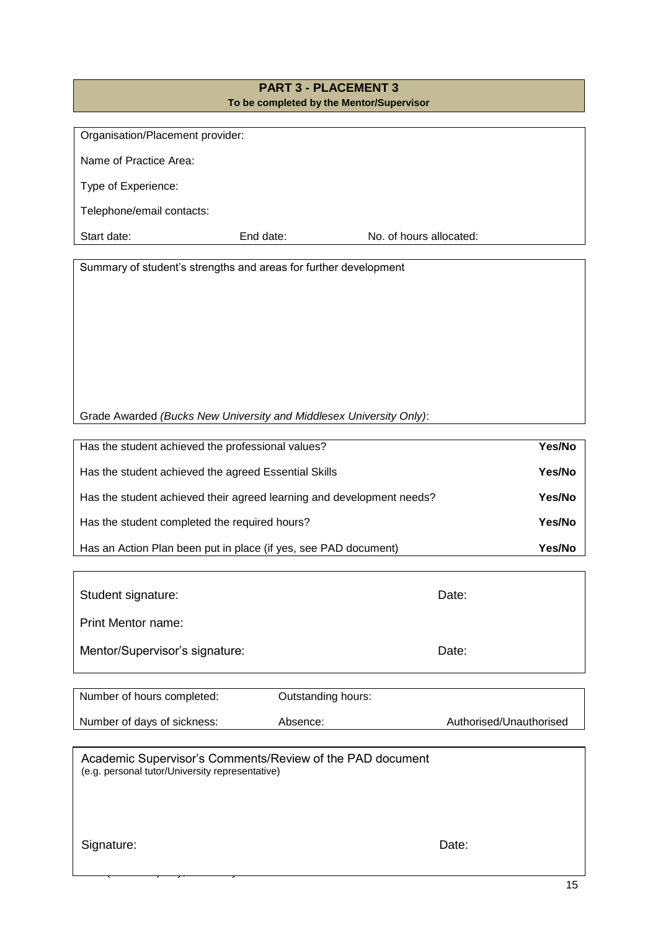# **PART 3 - PLACEMENT 3 To be completed by the Mentor/Supervisor**

| Organisation/Placement provider: |           |                         |  |
|----------------------------------|-----------|-------------------------|--|
|                                  |           |                         |  |
| Name of Practice Area:           |           |                         |  |
|                                  |           |                         |  |
|                                  |           |                         |  |
| Type of Experience:              |           |                         |  |
|                                  |           |                         |  |
| Telephone/email contacts:        |           |                         |  |
|                                  |           |                         |  |
| Start date:                      | End date: | No. of hours allocated: |  |
|                                  |           |                         |  |

Summary of student's strengths and areas for further development

Grade Awarded *(Bucks New University and Middlesex University Only)*:

| Has the student achieved the professional values?                     | Yes/No |
|-----------------------------------------------------------------------|--------|
| Has the student achieved the agreed Essential Skills                  | Yes/No |
| Has the student achieved their agreed learning and development needs? | Yes/No |
| Has the student completed the required hours?                         | Yes/No |
| Has an Action Plan been put in place (if yes, see PAD document)       | Yes/No |

| Student signature:             | Date: |
|--------------------------------|-------|
| <b>Print Mentor name:</b>      |       |
| Mentor/Supervisor's signature: | Date: |

| Number of hours completed:  | Outstanding hours: |                         |
|-----------------------------|--------------------|-------------------------|
| Number of days of sickness: | Absence:           | Authorised/Unauthorised |

Academic Supervisor's Comments/Review of the PAD document (e.g. personal tutor/University representative)

Signature: Date: Date: Date: Date: Date: Date: Date: Date: Date: Date: Date: Date: Date: Date: Date: Date: Date: Date: Date: Date: Date: Date: Date: Date: Date: Date: Date: Date: Date: Date: Date: Date: Date: Date: Date: D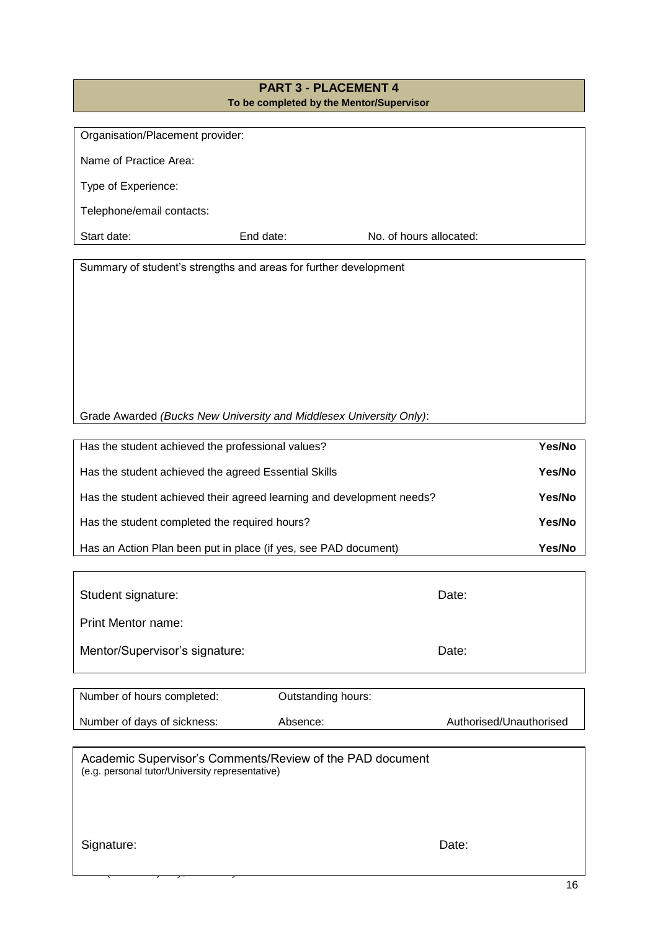# **PART 3 - PLACEMENT 4 To be completed by the Mentor/Supervisor**

| Organisation/Placement provider: |           |                         |
|----------------------------------|-----------|-------------------------|
|                                  |           |                         |
| Name of Practice Area:           |           |                         |
|                                  |           |                         |
|                                  |           |                         |
| Type of Experience:              |           |                         |
|                                  |           |                         |
| Telephone/email contacts:        |           |                         |
|                                  |           |                         |
| Start date:                      | End date: | No. of hours allocated: |
|                                  |           |                         |

Summary of student's strengths and areas for further development

Grade Awarded *(Bucks New University and Middlesex University Only)*:

| Has the student achieved the professional values?                     | Yes/No |
|-----------------------------------------------------------------------|--------|
| Has the student achieved the agreed Essential Skills                  | Yes/No |
| Has the student achieved their agreed learning and development needs? | Yes/No |
| Has the student completed the required hours?                         | Yes/No |
| Has an Action Plan been put in place (if yes, see PAD document)       | Yes/No |

| Student signature:             | Date: |
|--------------------------------|-------|
| <b>Print Mentor name:</b>      |       |
| Mentor/Supervisor's signature: | Date: |

| Number of hours completed:  | Outstanding hours: |                         |
|-----------------------------|--------------------|-------------------------|
| Number of days of sickness: | Absence:           | Authorised/Unauthorised |

Academic Supervisor's Comments/Review of the PAD document (e.g. personal tutor/University representative)

Signature: Date: Date: Date: Date: Date: Date: Date: Date: Date: Date: Date: Date: Date: Date: Date: Date: Date: Date: Date: Date: Date: Date: Date: Date: Date: Date: Date: Date: Date: Date: Date: Date: Date: Date: Date: D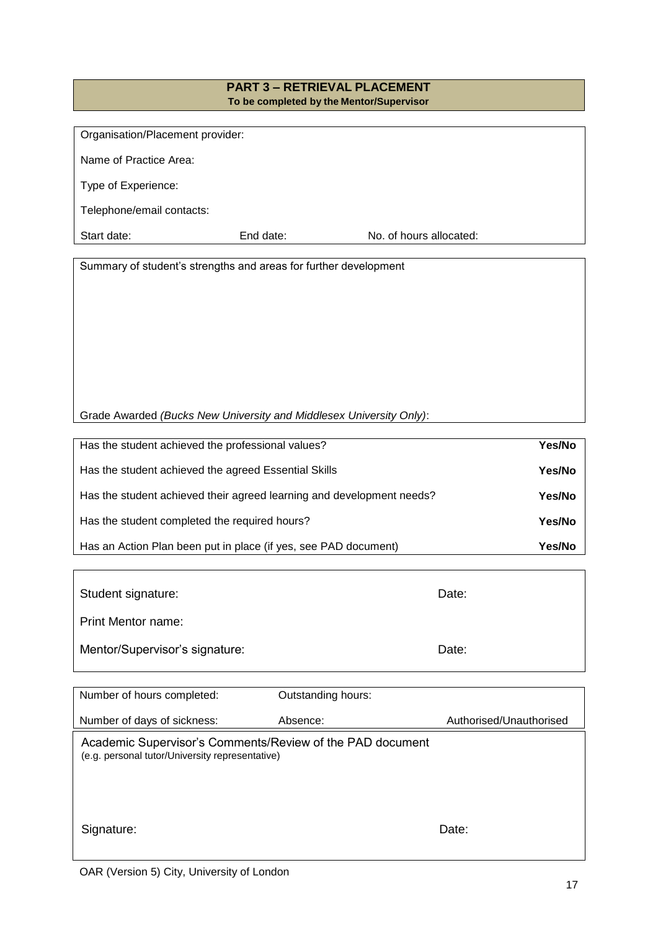#### **PART 3 – RETRIEVAL PLACEMENT To be completed by the Mentor/Supervisor**

| Organisation/Placement provider: |                         |
|----------------------------------|-------------------------|
|                                  |                         |
|                                  |                         |
|                                  |                         |
| End date:                        | No. of hours allocated: |
|                                  |                         |

Summary of student's strengths and areas for further development

| Has the student achieved the professional values?                     | Yes/No |
|-----------------------------------------------------------------------|--------|
| Has the student achieved the agreed Essential Skills                  | Yes/No |
| Has the student achieved their agreed learning and development needs? | Yes/No |
| Has the student completed the required hours?                         | Yes/No |
| Has an Action Plan been put in place (if yes, see PAD document)       | Yes/No |

| Student signature:             | Date: |
|--------------------------------|-------|
| <b>Print Mentor name:</b>      |       |
| Mentor/Supervisor's signature: | Date: |

| Number of hours completed:                                                                                   | Outstanding hours: |                         |
|--------------------------------------------------------------------------------------------------------------|--------------------|-------------------------|
| Number of days of sickness:                                                                                  | Absence:           | Authorised/Unauthorised |
| Academic Supervisor's Comments/Review of the PAD document<br>(e.g. personal tutor/University representative) |                    |                         |
| Signature:                                                                                                   |                    | Date:                   |